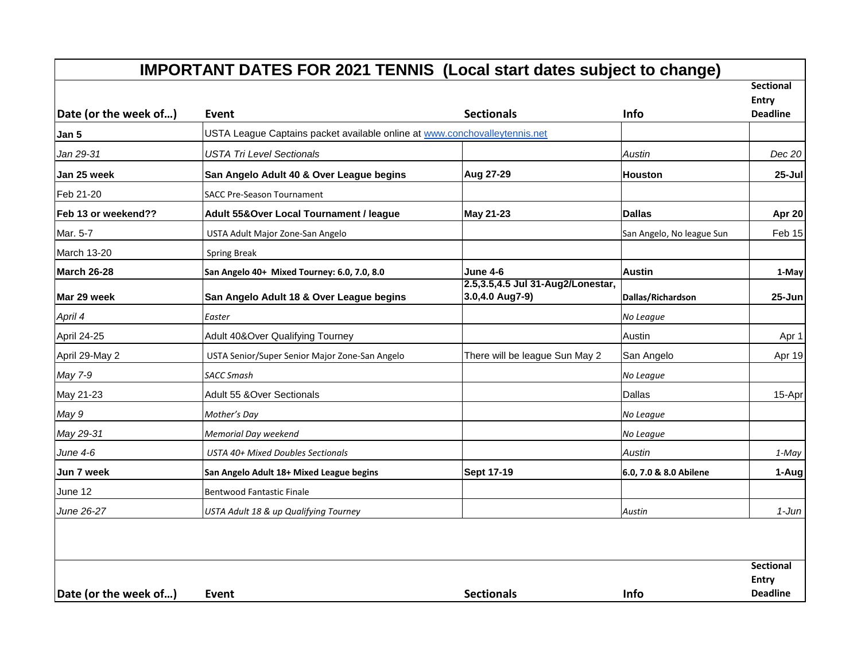| Date (or the week of) | <b>IMPORTANT DATES FOR 2021 TENNIS (Local start dates subject to change)</b><br>Event | <b>Sectionals</b>                                    | Info                      | <b>Sectional</b><br><b>Entry</b><br><b>Deadline</b> |
|-----------------------|---------------------------------------------------------------------------------------|------------------------------------------------------|---------------------------|-----------------------------------------------------|
| Jan 5                 | USTA League Captains packet available online at www.conchovalleytennis.net            |                                                      |                           |                                                     |
| Jan 29-31             | <b>USTA Tri Level Sectionals</b>                                                      |                                                      | Austin                    | Dec 20                                              |
| Jan 25 week           | San Angelo Adult 40 & Over League begins                                              | Aug 27-29                                            | <b>Houston</b>            | $25 -$ Jul                                          |
| Feb 21-20             | <b>SACC Pre-Season Tournament</b>                                                     |                                                      |                           |                                                     |
| Feb 13 or weekend??   | Adult 55& Over Local Tournament / league                                              | <b>May 21-23</b>                                     | <b>Dallas</b>             | Apr 20                                              |
| Mar. 5-7              | USTA Adult Major Zone-San Angelo                                                      |                                                      | San Angelo, No league Sun | Feb 15                                              |
| March 13-20           | <b>Spring Break</b>                                                                   |                                                      |                           |                                                     |
| March 26-28           | San Angelo 40+ Mixed Tourney: 6.0, 7.0, 8.0                                           | <b>June 4-6</b>                                      | <b>Austin</b>             | 1-May                                               |
| Mar 29 week           | San Angelo Adult 18 & Over League begins                                              | 2.5,3.5,4.5 Jul 31-Aug2/Lonestar,<br>3.0,4.0 Aug7-9) | Dallas/Richardson         | 25-Jun                                              |
| April 4               | Easter                                                                                |                                                      | No League                 |                                                     |
| April 24-25           | Adult 40&Over Qualifying Tourney                                                      |                                                      | Austin                    | Apr 1                                               |
| April 29-May 2        | USTA Senior/Super Senior Major Zone-San Angelo                                        | There will be league Sun May 2                       | San Angelo                | Apr 19                                              |
| May 7-9               | <b>SACC Smash</b>                                                                     |                                                      | No League                 |                                                     |
| May 21-23             | Adult 55 & Over Sectionals                                                            |                                                      | Dallas                    | 15-Apr                                              |
| May 9                 | Mother's Day                                                                          |                                                      | No League                 |                                                     |
| May 29-31             | Memorial Day weekend                                                                  |                                                      | No League                 |                                                     |
| June 4-6              | USTA 40+ Mixed Doubles Sectionals                                                     |                                                      | Austin                    | 1-May                                               |
| Jun 7 week            | San Angelo Adult 18+ Mixed League begins                                              | <b>Sept 17-19</b>                                    | 6.0, 7.0 & 8.0 Abilene    | 1-Aug                                               |
| June 12               | <b>Bentwood Fantastic Finale</b>                                                      |                                                      |                           |                                                     |
| June 26-27            | USTA Adult 18 & up Qualifying Tourney                                                 |                                                      | Austin                    | $1-J$ un                                            |
|                       |                                                                                       |                                                      |                           | <b>Sectional</b><br><b>Entry</b>                    |
| Date (or the week of) | Event                                                                                 | <b>Sectionals</b>                                    | <b>Info</b>               | <b>Deadline</b>                                     |